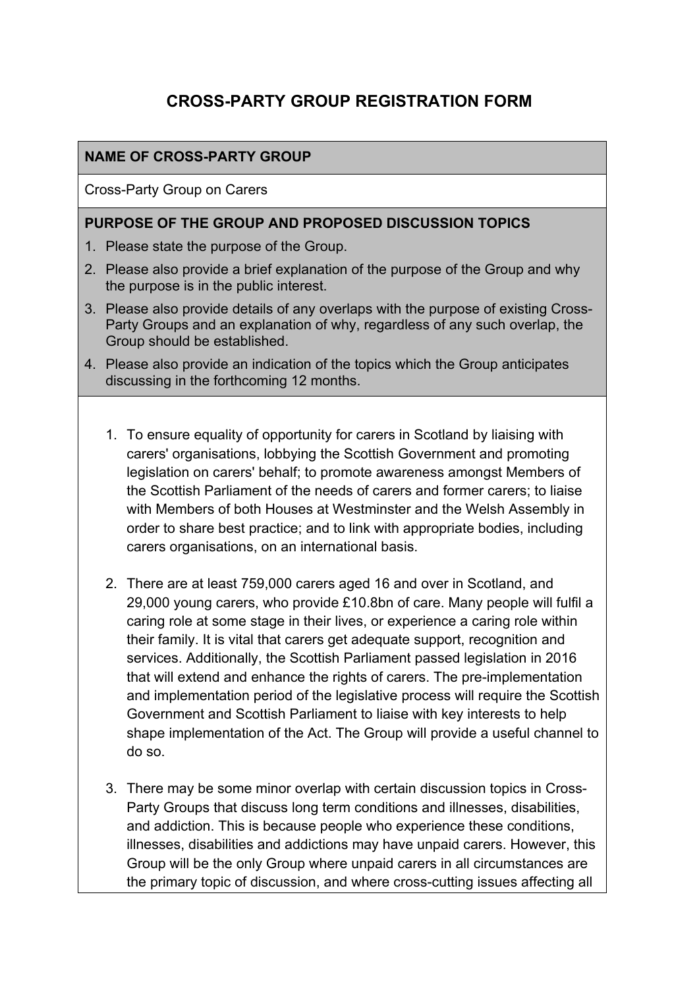# **CROSS-PARTY GROUP REGISTRATION FORM**

### **NAME OF CROSS-PARTY GROUP**

Cross-Party Group on Carers

#### **PURPOSE OF THE GROUP AND PROPOSED DISCUSSION TOPICS**

- 1. Please state the purpose of the Group.
- 2. Please also provide a brief explanation of the purpose of the Group and why the purpose is in the public interest.
- 3. Please also provide details of any overlaps with the purpose of existing Cross-Party Groups and an explanation of why, regardless of any such overlap, the Group should be established.
- 4. Please also provide an indication of the topics which the Group anticipates discussing in the forthcoming 12 months.
	- 1. To ensure equality of opportunity for carers in Scotland by liaising with carers' organisations, lobbying the Scottish Government and promoting legislation on carers' behalf; to promote awareness amongst Members of the Scottish Parliament of the needs of carers and former carers; to liaise with Members of both Houses at Westminster and the Welsh Assembly in order to share best practice; and to link with appropriate bodies, including carers organisations, on an international basis.
	- 2. There are at least 759,000 carers aged 16 and over in Scotland, and 29,000 young carers, who provide £10.8bn of care. Many people will fulfil a caring role at some stage in their lives, or experience a caring role within their family. It is vital that carers get adequate support, recognition and services. Additionally, the Scottish Parliament passed legislation in 2016 that will extend and enhance the rights of carers. The pre-implementation and implementation period of the legislative process will require the Scottish Government and Scottish Parliament to liaise with key interests to help shape implementation of the Act. The Group will provide a useful channel to do so.
	- 3. There may be some minor overlap with certain discussion topics in Cross-Party Groups that discuss long term conditions and illnesses, disabilities, and addiction. This is because people who experience these conditions, illnesses, disabilities and addictions may have unpaid carers. However, this Group will be the only Group where unpaid carers in all circumstances are the primary topic of discussion, and where cross-cutting issues affecting all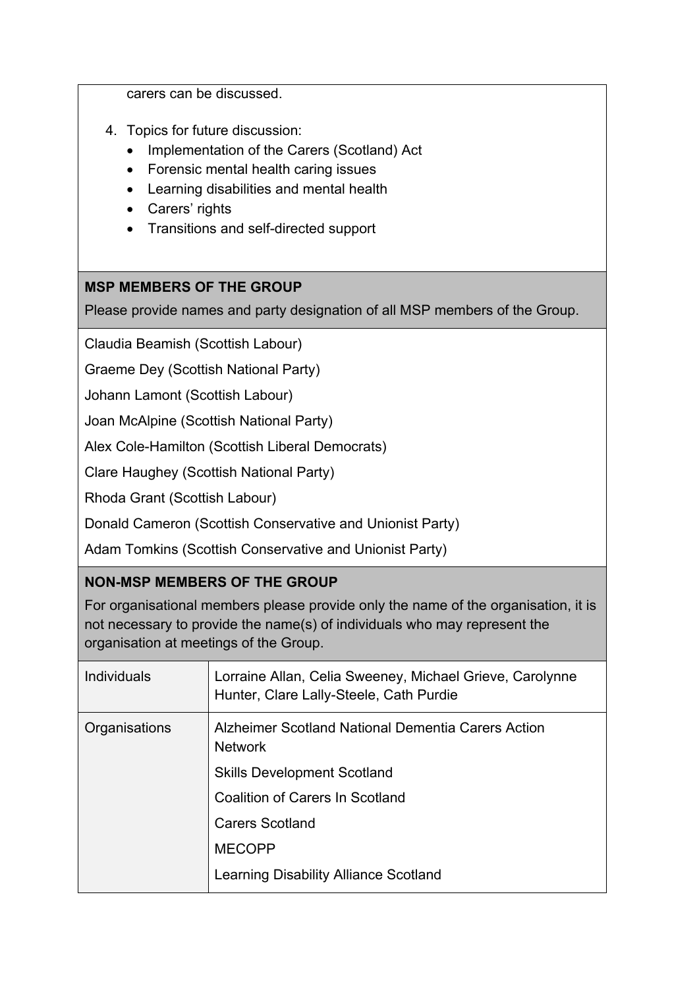carers can be discussed.

- 4. Topics for future discussion:
	- Implementation of the Carers (Scotland) Act
	- Forensic mental health caring issues
	- Learning disabilities and mental health
	- Carers' rights
	- Transitions and self-directed support

### **MSP MEMBERS OF THE GROUP**

Please provide names and party designation of all MSP members of the Group.

Claudia Beamish (Scottish Labour)

Graeme Dey (Scottish National Party)

Johann Lamont (Scottish Labour)

Joan McAlpine (Scottish National Party)

Alex Cole-Hamilton (Scottish Liberal Democrats)

Clare Haughey (Scottish National Party)

Rhoda Grant (Scottish Labour)

Donald Cameron (Scottish Conservative and Unionist Party)

Adam Tomkins (Scottish Conservative and Unionist Party)

## **NON-MSP MEMBERS OF THE GROUP**

For organisational members please provide only the name of the organisation, it is not necessary to provide the name(s) of individuals who may represent the organisation at meetings of the Group.

| <b>Individuals</b> | Lorraine Allan, Celia Sweeney, Michael Grieve, Carolynne<br>Hunter, Clare Lally-Steele, Cath Purdie |
|--------------------|-----------------------------------------------------------------------------------------------------|
| Organisations      | Alzheimer Scotland National Dementia Carers Action<br><b>Network</b>                                |
|                    | <b>Skills Development Scotland</b>                                                                  |
|                    | <b>Coalition of Carers In Scotland</b>                                                              |
|                    | <b>Carers Scotland</b>                                                                              |
|                    | <b>MECOPP</b>                                                                                       |
|                    | Learning Disability Alliance Scotland                                                               |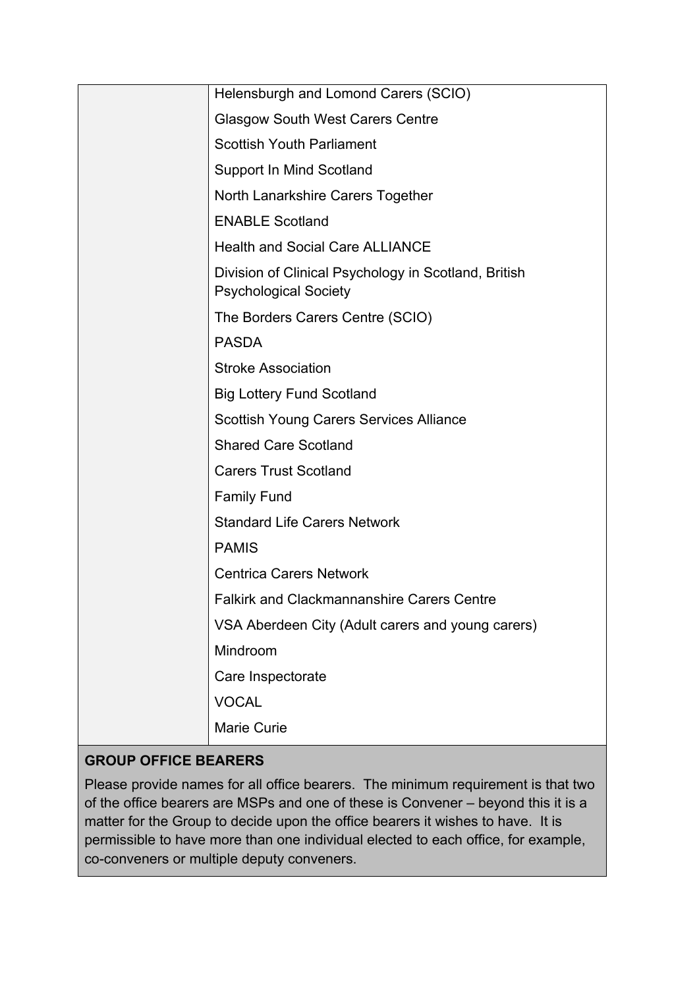| Helensburgh and Lomond Carers (SCIO)                                                 |
|--------------------------------------------------------------------------------------|
| <b>Glasgow South West Carers Centre</b>                                              |
| <b>Scottish Youth Parliament</b>                                                     |
| <b>Support In Mind Scotland</b>                                                      |
| North Lanarkshire Carers Together                                                    |
| <b>ENABLE Scotland</b>                                                               |
| <b>Health and Social Care ALLIANCE</b>                                               |
| Division of Clinical Psychology in Scotland, British<br><b>Psychological Society</b> |
| The Borders Carers Centre (SCIO)                                                     |
| <b>PASDA</b>                                                                         |
| <b>Stroke Association</b>                                                            |
| <b>Big Lottery Fund Scotland</b>                                                     |
| <b>Scottish Young Carers Services Alliance</b>                                       |
| <b>Shared Care Scotland</b>                                                          |
| <b>Carers Trust Scotland</b>                                                         |
| <b>Family Fund</b>                                                                   |
| <b>Standard Life Carers Network</b>                                                  |
| <b>PAMIS</b>                                                                         |
| <b>Centrica Carers Network</b>                                                       |
| <b>Falkirk and Clackmannanshire Carers Centre</b>                                    |
| VSA Aberdeen City (Adult carers and young carers)                                    |
| Mindroom                                                                             |
| Care Inspectorate                                                                    |
| <b>VOCAL</b>                                                                         |
| <b>Marie Curie</b>                                                                   |
|                                                                                      |

# **GROUP OFFICE BEARERS**

Please provide names for all office bearers. The minimum requirement is that two of the office bearers are MSPs and one of these is Convener – beyond this it is a matter for the Group to decide upon the office bearers it wishes to have. It is permissible to have more than one individual elected to each office, for example, co-conveners or multiple deputy conveners.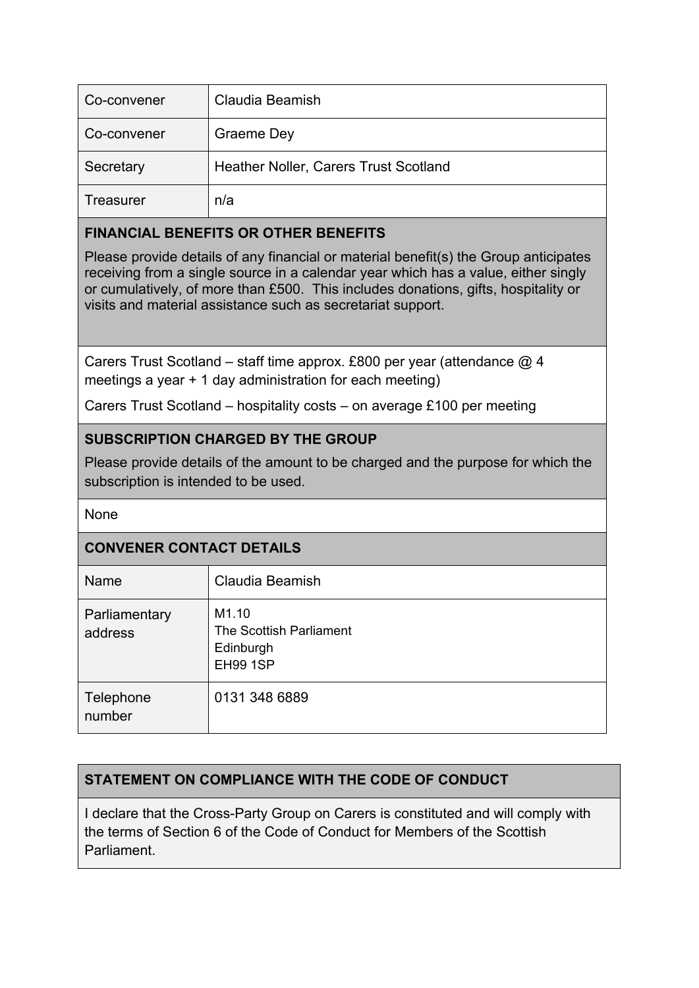| Co-convener | Claudia Beamish                       |
|-------------|---------------------------------------|
| Co-convener | Graeme Dey                            |
| Secretary   | Heather Noller, Carers Trust Scotland |
| Treasurer   | n/a                                   |

#### **FINANCIAL BENEFITS OR OTHER BENEFITS**

Please provide details of any financial or material benefit(s) the Group anticipates receiving from a single source in a calendar year which has a value, either singly or cumulatively, of more than £500. This includes donations, gifts, hospitality or visits and material assistance such as secretariat support.

Carers Trust Scotland – staff time approx. £800 per year (attendance @ 4 meetings a year + 1 day administration for each meeting)

Carers Trust Scotland – hospitality costs – on average £100 per meeting

## **SUBSCRIPTION CHARGED BY THE GROUP**

Please provide details of the amount to be charged and the purpose for which the subscription is intended to be used.

#### None

#### **CONVENER CONTACT DETAILS**

| Name                     | Claudia Beamish                                           |  |
|--------------------------|-----------------------------------------------------------|--|
| Parliamentary<br>address | M1.10<br>The Scottish Parliament<br>Edinburgh<br>EH99 1SP |  |
| Telephone<br>number      | 0131 348 6889                                             |  |

# **STATEMENT ON COMPLIANCE WITH THE CODE OF CONDUCT**

I declare that the Cross-Party Group on Carers is constituted and will comply with the terms of Section 6 of the Code of Conduct for Members of the Scottish Parliament.